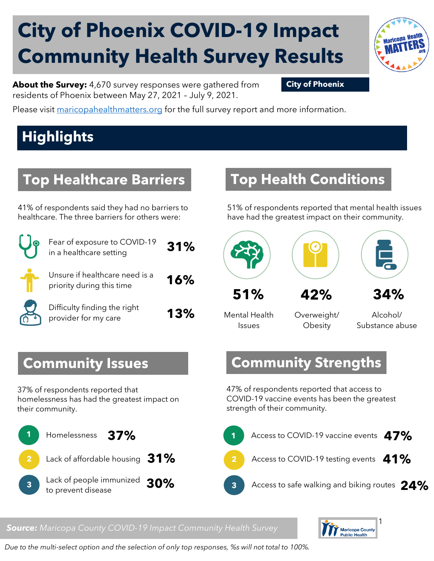# **City of Phoenix COVID-19 Impact Community Health Survey Results**



**About the Survey:** 4,670 survey responses were gathered from **City of Phoenix** residents of Phoenix between May 27, 2021 – July 9, 2021.

Please visit [maricopahealthmatters.org](https://www.maricopa.gov/5100/Health-Data-Maricopa-Health-Matters) for the full survey report and more information.

## **Highlights**

## **Top Healthcare Barriers**

41% of respondents said they had no barriers to healthcare. The three barriers for others were:

| Fear of exposure to COVID-19<br>in a healthcare setting     | 31% |
|-------------------------------------------------------------|-----|
| Unsure if healthcare need is a<br>priority during this time | 16% |
| Difficulty finding the right<br>provider for my care        | 13% |

#### **Top Health Conditions**

51% of respondents reported that mental health issues have had the greatest impact on their community.



Mental Health Issues

Overweight/ **Obesity** 

Alcohol/ Substance abuse

#### **Community Issues**

37% of respondents reported that homelessness has had the greatest impact on their community.



#### **Community Strengths**

47% of respondents reported that access to COVID-19 vaccine events has been the greatest strength of their community.



#### $\mathbf{r}$ **Public Health**

*Source: Maricopa County COVID-19 Impact Community Health Survey*

*Due to the multi-select option and the selection of only top responses, %s will not total to 100%.*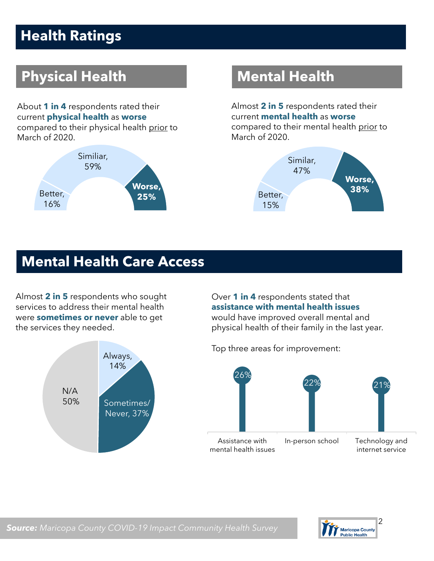## **Health Ratings**

## **Physical Health Mental Health**

About **1 in 4** respondents rated their current **physical health** as **worse** compared to their physical health prior to March of 2020.



Almost **2 in 5** respondents rated their current **mental health** as **worse**  compared to their mental health prior to March of 2020.



#### **Mental Health Care Access**

Almost **2 in 5** respondents who sought services to address their mental health were **sometimes or never** able to get the services they needed.



Over **1 in 4** respondents stated that **assistance with mental health issues** 

would have improved overall mental and physical health of their family in the last year.

Top three areas for improvement:



Maricopa County<br>Public Health

*Source: Maricopa County COVID-19 Impact Community Health Survey*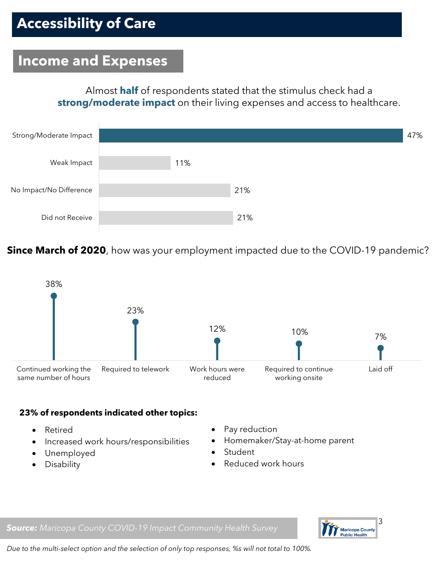#### **Income and Expenses**

Almost **half** of respondents stated that the stimulus check had a **strong/moderate impact** on their living expenses and access to healthcare.



**Since March of 2020**, how was your employment impacted due to the COVID-19 pandemic?



#### **23% of respondents indicated other topics:**

- Retired
- Increased work hours/responsibilities
- Unemployed
- Disability
- Pay reduction
- Homemaker/Stay-at-home parent
- **Student**
- Reduced work hours





*Due to the multi-select option and the selection of only top responses, %s will not total to 100%.*